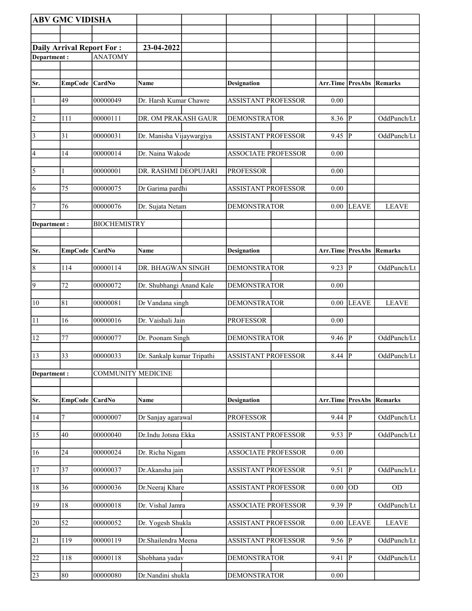|                       | <b>ABV GMC VIDISHA</b>           |                     |                            |                            |                                 |              |              |
|-----------------------|----------------------------------|---------------------|----------------------------|----------------------------|---------------------------------|--------------|--------------|
|                       |                                  |                     |                            |                            |                                 |              |              |
|                       | <b>Daily Arrival Report For:</b> |                     | 23-04-2022                 |                            |                                 |              |              |
| Department:           |                                  | <b>ANATOMY</b>      |                            |                            |                                 |              |              |
|                       |                                  |                     |                            |                            |                                 |              |              |
| Sr.                   | EmpCode CardNo                   |                     | Name                       | <b>Designation</b>         | <b>Arr.Time   PresAbs</b>       |              | Remarks      |
| $\vert$ 1             | 49                               | 00000049            | Dr. Harsh Kumar Chawre     | <b>ASSISTANT PROFESSOR</b> | 0.00                            |              |              |
|                       |                                  |                     |                            |                            |                                 |              |              |
| $\vert$ 2             | 111                              | 00000111            | DR. OM PRAKASH GAUR        | <b>DEMONSTRATOR</b>        | 8.36                            | P            | OddPunch/Lt  |
| $\vert$ 3             | 31                               | 00000031            | Dr. Manisha Vijaywargiya   | ASSISTANT PROFESSOR        | 9.45                            | IP.          | OddPunch/Lt  |
| 4                     | 14                               | 00000014            | Dr. Naina Wakode           | <b>ASSOCIATE PROFESSOR</b> | 0.00                            |              |              |
|                       |                                  |                     | DR. RASHMI DEOPUJARI       | <b>PROFESSOR</b>           |                                 |              |              |
| $\overline{\sqrt{5}}$ | $\mathbf{1}$                     | 00000001            |                            |                            | 0.00                            |              |              |
| 6                     | 75                               | 00000075            | Dr Garima pardhi           | <b>ASSISTANT PROFESSOR</b> | 0.00                            |              |              |
| $\overline{7}$        | 76                               | 00000076            | Dr. Sujata Netam           | <b>DEMONSTRATOR</b>        | 0.00                            | <b>LEAVE</b> | <b>LEAVE</b> |
| Department:           |                                  | <b>BIOCHEMISTRY</b> |                            |                            |                                 |              |              |
|                       |                                  |                     |                            |                            |                                 |              |              |
| Sr.                   | EmpCode CardNo                   |                     |                            |                            | <b>Arr.Time PresAbs Remarks</b> |              |              |
|                       |                                  |                     | Name                       | <b>Designation</b>         |                                 |              |              |
| 8                     | 114                              | 00000114            | DR. BHAGWAN SINGH          | <b>DEMONSTRATOR</b>        | 9.23                            | P            | OddPunch/Lt  |
| 9                     | 72                               | 00000072            | Dr. Shubhangi Anand Kale   | <b>DEMONSTRATOR</b>        | 0.00                            |              |              |
| 10                    | 81                               | 00000081            | Dr Vandana singh           | <b>DEMONSTRATOR</b>        | 0.00                            | <b>LEAVE</b> | <b>LEAVE</b> |
|                       |                                  |                     |                            |                            |                                 |              |              |
| 11                    | 16                               | 00000016            | Dr. Vaishali Jain          | <b>PROFESSOR</b>           | 0.00                            |              |              |
| 12                    | 77                               | 00000077            | Dr. Poonam Singh           | <b>DEMONSTRATOR</b>        | 9.46                            | <b>IP</b>    | OddPunch/Lt  |
| 13                    | 33                               | 00000033            | Dr. Sankalp kumar Tripathi | ASSISTANT PROFESSOR        | 8.44 $\vert \overline{P} \vert$ |              | OddPunch/Lt  |
|                       |                                  |                     |                            |                            |                                 |              |              |
| Department:           |                                  | COMMUNITY MEDICINE  |                            |                            |                                 |              |              |
|                       |                                  |                     |                            |                            |                                 |              |              |
| Sr.                   | EmpCode CardNo                   |                     | Name                       | <b>Designation</b>         | <b>Arr.Time PresAbs Remarks</b> |              |              |
| 14                    | 7                                | 00000007            | Dr Sanjay agarawal         | <b>PROFESSOR</b>           | 9.44                            | P            | OddPunch/Lt  |
| 15                    | 40                               | 00000040            | Dr.Indu Jotsna Ekka        | <b>ASSISTANT PROFESSOR</b> | 9.53                            | IР           | OddPunch/Lt  |
|                       |                                  |                     |                            |                            |                                 |              |              |
| 16                    | 24                               | 00000024            | Dr. Richa Nigam            | <b>ASSOCIATE PROFESSOR</b> | 0.00                            |              |              |
| 17                    | 37                               | 00000037            | Dr.Akansha jain            | <b>ASSISTANT PROFESSOR</b> | 9.51                            | P            | OddPunch/Lt  |
| 18                    | 36                               | 00000036            | Dr.Neeraj Khare            | <b>ASSISTANT PROFESSOR</b> | 0.00                            | <b>OD</b>    | OD           |
|                       |                                  |                     |                            |                            |                                 |              |              |
| 19                    | 18                               | 00000018            | Dr. Vishal Jamra           | <b>ASSOCIATE PROFESSOR</b> | 9.39                            | $ {\bf p} $  | OddPunch/Lt  |
| 20                    | 52                               | 00000052            | Dr. Yogesh Shukla          | <b>ASSISTANT PROFESSOR</b> | 0.00                            | <b>LEAVE</b> | <b>LEAVE</b> |
| $\overline{21}$       | 119                              | 00000119            | Dr.Shailendra Meena        | <b>ASSISTANT PROFESSOR</b> | 9.56                            | P            | OddPunch/Lt  |
|                       |                                  |                     |                            |                            |                                 |              |              |
| 22                    | 118                              | 00000118            | Shobhana yadav             | <b>DEMONSTRATOR</b>        | 9.41                            | P            | OddPunch/Lt  |
| 23                    | 80                               | 00000080            | Dr.Nandini shukla          | <b>DEMONSTRATOR</b>        | $0.00\,$                        |              |              |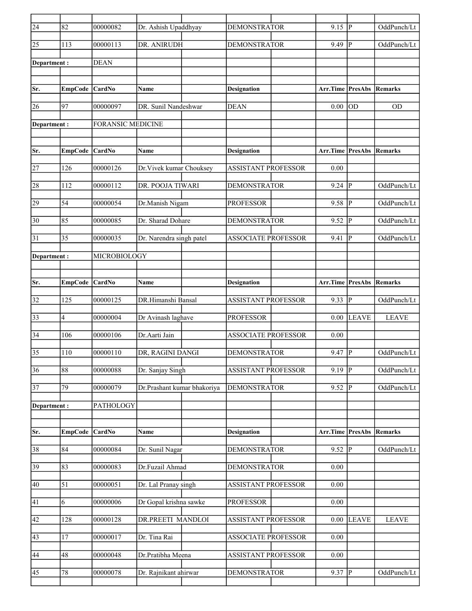| $\overline{24}$ | 82             | 00000082                 | Dr. Ashish Upaddhyay        | <b>DEMONSTRATOR</b>        | 9.15                            | lР           | OddPunch/Lt  |
|-----------------|----------------|--------------------------|-----------------------------|----------------------------|---------------------------------|--------------|--------------|
| 25              | 113            | 00000113                 | DR. ANIRUDH                 | <b>DEMONSTRATOR</b>        | 9.49                            | P            | OddPunch/Lt  |
| Department:     |                | <b>DEAN</b>              |                             |                            |                                 |              |              |
|                 |                |                          |                             |                            |                                 |              |              |
| Sr.             | <b>EmpCode</b> | CardNo                   | Name                        | <b>Designation</b>         | Arr.Time                        | PresAbs      | Remarks      |
| 26              | 97             | 00000097                 | DR. Sunil Nandeshwar        | <b>DEAN</b>                | 0.00                            | lod          | <b>OD</b>    |
|                 |                |                          |                             |                            |                                 |              |              |
| Department :    |                | <b>FORANSIC MEDICINE</b> |                             |                            |                                 |              |              |
| Sr.             | EmpCode CardNo |                          | Name                        | <b>Designation</b>         | <b>Arr.Time PresAbs Remarks</b> |              |              |
|                 |                |                          |                             |                            |                                 |              |              |
| 27              | 126            | 00000126                 | Dr. Vivek kumar Chouksey    | <b>ASSISTANT PROFESSOR</b> | 0.00                            |              |              |
| 28              | 112            | 00000112                 | DR. POOJA TIWARI            | <b>DEMONSTRATOR</b>        | 9.24                            | p            | OddPunch/Lt  |
| 29              | 54             | 00000054                 | Dr.Manish Nigam             | <b>PROFESSOR</b>           | 9.58                            | IР           | OddPunch/Lt  |
| 30              | 85             | 00000085                 | Dr. Sharad Dohare           | <b>DEMONSTRATOR</b>        | 9.52                            | P            | OddPunch/Lt  |
| 31              | 35             | 00000035                 | Dr. Narendra singh patel    | <b>ASSOCIATE PROFESSOR</b> | 9.41                            | lР           | OddPunch/Lt  |
| Department :    |                | MICROBIOLOGY             |                             |                            |                                 |              |              |
|                 |                |                          |                             |                            |                                 |              |              |
| Sr.             | <b>EmpCode</b> | $\vert$ CardNo           | Name                        | <b>Designation</b>         | Arr.Time                        | PresAbs      | Remarks      |
| 32              | 125            | 00000125                 | DR.Himanshi Bansal          | <b>ASSISTANT PROFESSOR</b> | 9.33                            | lР           | OddPunch/Lt  |
| 33              | $\overline{4}$ | 00000004                 | Dr Avinash laghave          | <b>PROFESSOR</b>           | 0.00                            | <b>LEAVE</b> | <b>LEAVE</b> |
| 34              | 106            | 00000106                 | Dr.Aarti Jain               | <b>ASSOCIATE PROFESSOR</b> | 0.00                            |              |              |
| 35              | 110            | 00000110                 | DR, RAGINI DANGI            | <b>DEMONSTRATOR</b>        | 9.47                            | IP.          | OddPunch/Lt  |
| $\overline{36}$ | 88             | 00000088                 | Dr. Sanjay Singh            | <b>ASSISTANT PROFESSOR</b> | $9.19$ P                        |              | OddPunch/Lt  |
| $\overline{37}$ | 79             | 00000079                 | Dr.Prashant kumar bhakoriya | <b>DEMONSTRATOR</b>        | 9.52                            | P            | OddPunch/Lt  |
| Department:     |                | <b>PATHOLOGY</b>         |                             |                            |                                 |              |              |
|                 |                |                          |                             |                            |                                 |              |              |
| Sr.             | <b>EmpCode</b> | CardNo                   | Name                        | <b>Designation</b>         | Arr.Time PresAbs Remarks        |              |              |
| 38              | 84             | 00000084                 | Dr. Sunil Nagar             | DEMONSTRATOR               | $9.52 \overline{P}$             |              | OddPunch/Lt  |
| 39              | 83             | 00000083                 | Dr.Fuzail Ahmad             | <b>DEMONSTRATOR</b>        | 0.00                            |              |              |
| 40              | 51             | 00000051                 | Dr. Lal Pranay singh        | <b>ASSISTANT PROFESSOR</b> | 0.00                            |              |              |
| 41              | 6              | 00000006                 | Dr Gopal krishna sawke      | <b>PROFESSOR</b>           | 0.00                            |              |              |
| 42              | 128            | 00000128                 | DR.PREETI MANDLOI           | ASSISTANT PROFESSOR        | $0.00\,$                        | <b>LEAVE</b> | <b>LEAVE</b> |
| 43              | 17             | 00000017                 | Dr. Tina Rai                | <b>ASSOCIATE PROFESSOR</b> | 0.00                            |              |              |
| 44              | 48             | 00000048                 | Dr.Pratibha Meena           | <b>ASSISTANT PROFESSOR</b> | 0.00                            |              |              |
| $ 45\rangle$    | 78             | 00000078                 | Dr. Rajnikant ahirwar       | <b>DEMONSTRATOR</b>        | $9.37$ P                        |              | OddPunch/Lt  |
|                 |                |                          |                             |                            |                                 |              |              |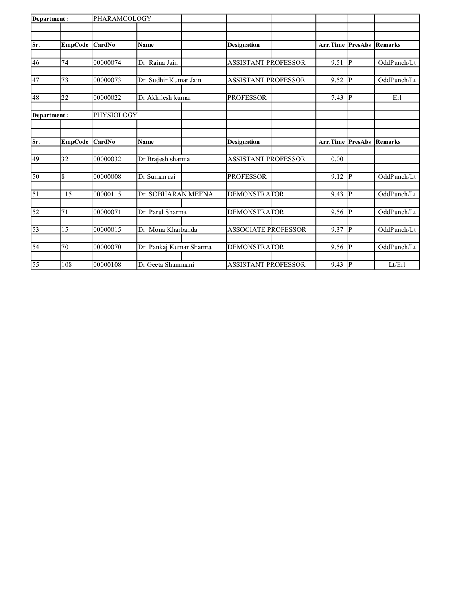| <b>EmpCode</b> |                                                     | <b>Name</b>                                                              | <b>Designation</b>                                                                            |                                                                                                                                                                |                              | <b>Remarks</b>                                                               |
|----------------|-----------------------------------------------------|--------------------------------------------------------------------------|-----------------------------------------------------------------------------------------------|----------------------------------------------------------------------------------------------------------------------------------------------------------------|------------------------------|------------------------------------------------------------------------------|
|                |                                                     |                                                                          |                                                                                               |                                                                                                                                                                |                              |                                                                              |
| 74             | 00000074                                            | Dr. Raina Jain                                                           | <b>ASSISTANT PROFESSOR</b>                                                                    | 9.51                                                                                                                                                           | P                            | OddPunch/Lt                                                                  |
|                |                                                     |                                                                          |                                                                                               |                                                                                                                                                                |                              | OddPunch/Lt                                                                  |
|                |                                                     |                                                                          |                                                                                               |                                                                                                                                                                |                              |                                                                              |
| 22             | 00000022                                            | Dr Akhilesh kumar                                                        | <b>PROFESSOR</b>                                                                              | 7.43                                                                                                                                                           | IР                           | Erl                                                                          |
|                |                                                     |                                                                          |                                                                                               |                                                                                                                                                                |                              |                                                                              |
|                |                                                     |                                                                          |                                                                                               |                                                                                                                                                                |                              |                                                                              |
|                |                                                     | Name                                                                     | <b>Designation</b>                                                                            |                                                                                                                                                                |                              | Remarks                                                                      |
|                |                                                     |                                                                          |                                                                                               |                                                                                                                                                                |                              |                                                                              |
|                |                                                     |                                                                          |                                                                                               |                                                                                                                                                                |                              |                                                                              |
| 8              | 00000008                                            | Dr Suman rai                                                             | <b>PROFESSOR</b>                                                                              | 9.12                                                                                                                                                           |                              | OddPunch/Lt                                                                  |
|                |                                                     |                                                                          |                                                                                               |                                                                                                                                                                |                              |                                                                              |
| 115            | 00000115                                            |                                                                          | <b>DEMONSTRATOR</b>                                                                           | 9.43                                                                                                                                                           | P                            | OddPunch/Lt                                                                  |
| 71             | 00000071                                            | Dr. Parul Sharma                                                         | <b>DEMONSTRATOR</b>                                                                           | 9.56                                                                                                                                                           |                              | OddPunch/Lt                                                                  |
| 15             | 00000015                                            | Dr. Mona Kharbanda                                                       | <b>ASSOCIATE PROFESSOR</b>                                                                    | 9.37                                                                                                                                                           | IР                           | OddPunch/Lt                                                                  |
|                |                                                     |                                                                          |                                                                                               |                                                                                                                                                                |                              |                                                                              |
|                |                                                     |                                                                          |                                                                                               |                                                                                                                                                                |                              | OddPunch/Lt                                                                  |
|                |                                                     |                                                                          |                                                                                               |                                                                                                                                                                |                              | Lt/Erl                                                                       |
|                | Department:<br>73<br>Department:<br>32<br>70<br>108 | CardNo<br>00000073<br>EmpCode CardNo<br>00000032<br>00000070<br>00000108 | PHARAMCOLOGY<br>Dr. Sudhir Kumar Jain<br>PHYSIOLOGY<br>Dr.Brajesh sharma<br>Dr.Geeta Shammani | <b>ASSISTANT PROFESSOR</b><br><b>ASSISTANT PROFESSOR</b><br>Dr. SOBHARAN MEENA<br>Dr. Pankaj Kumar Sharma<br><b>DEMONSTRATOR</b><br><b>ASSISTANT PROFESSOR</b> | 9.52<br>0.00<br>9.56<br>9.43 | <b>Arr.Time PresAbs</b><br> P<br>Arr.Time PresAbs<br> p <br> P <br> p <br> P |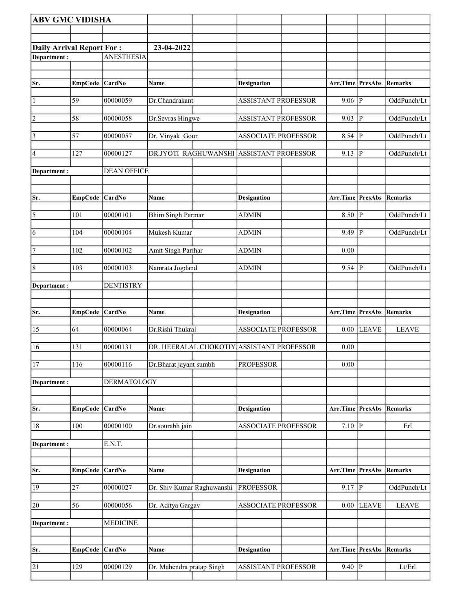| <b>ABV GMC VIDISHA</b>           |                |                    |                                           |                            |                                 |              |                |
|----------------------------------|----------------|--------------------|-------------------------------------------|----------------------------|---------------------------------|--------------|----------------|
|                                  |                |                    |                                           |                            |                                 |              |                |
| <b>Daily Arrival Report For:</b> |                |                    | 23-04-2022                                |                            |                                 |              |                |
| Department:                      |                | <b>ANESTHESIA</b>  |                                           |                            |                                 |              |                |
|                                  |                |                    |                                           |                            |                                 |              |                |
| Sr.                              | EmpCode CardNo |                    | Name                                      | <b>Designation</b>         | <b>Arr.Time PresAbs Remarks</b> |              |                |
| 1                                | 59             | 00000059           | Dr.Chandrakant                            | <b>ASSISTANT PROFESSOR</b> | $9.06$ P                        |              | OddPunch/Lt    |
| $ 2\rangle$                      | 58             | 00000058           | Dr.Sevras Hingwe                          | <b>ASSISTANT PROFESSOR</b> | 9.03   P                        |              | OddPunch/Lt    |
| $\vert 3 \vert$                  | 57             | 00000057           | Dr. Vinyak Gour                           | <b>ASSOCIATE PROFESSOR</b> | $8.54$ P                        |              | OddPunch/Lt    |
| 4                                | 127            | 00000127           | DR.JYOTI RAGHUWANSHI                      | <b>ASSISTANT PROFESSOR</b> | 9.13                            | P            | OddPunch/Lt    |
| Department :                     |                | <b>DEAN OFFICE</b> |                                           |                            |                                 |              |                |
| Sr.                              | EmpCode CardNo |                    | Name                                      | <b>Designation</b>         | Arr.Time PresAbs                |              | Remarks        |
| $\vert 5 \vert$                  | 101            | 00000101           | <b>Bhim Singh Parmar</b>                  | <b>ADMIN</b>               | $8.50$ P                        |              | OddPunch/Lt    |
| 6                                | 104            | 00000104           | Mukesh Kumar                              | <b>ADMIN</b>               | 9.49                            | P            | OddPunch/Lt    |
| 7                                | 102            | 00000102           | Amit Singh Parihar                        | ADMIN                      | 0.00                            |              |                |
| $\sqrt{8}$                       | 103            | 00000103           | Namrata Jogdand                           | <b>ADMIN</b>               | $9.54$ $\overline{P}$           |              | OddPunch/Lt    |
| Department :                     |                | <b>DENTISTRY</b>   |                                           |                            |                                 |              |                |
| Sr.                              | EmpCode CardNo |                    | Name                                      | <b>Designation</b>         | Arr.Time PresAbs                |              | <b>Remarks</b> |
| 15                               | 64             | 00000064           | Dr.Rishi Thukral                          | <b>ASSOCIATE PROFESSOR</b> | 0.00                            | <b>LEAVE</b> | <b>LEAVE</b>   |
| 16                               | 131            | 00000131           | DR. HEERALAL CHOKOTIY ASSISTANT PROFESSOR |                            | 0.00                            |              |                |
| 17                               | 116            | 00000116           | Dr.Bharat jayant sumbh                    | <b>PROFESSOR</b>           | $0.00\,$                        |              |                |
| Department:                      |                | DERMATOLOGY        |                                           |                            |                                 |              |                |
| Sr.                              | <b>EmpCode</b> | <b>CardNo</b>      | Name                                      | Designation                | <b>Arr.Time PresAbs</b>         |              | <b>Remarks</b> |
|                                  |                |                    |                                           |                            |                                 |              |                |
| 18                               | 100            | 00000100           | Dr.sourabh jain                           | <b>ASSOCIATE PROFESSOR</b> | $7.10$ P                        |              | Erl            |
| Department:                      |                | E.N.T.             |                                           |                            |                                 |              |                |
|                                  |                |                    |                                           |                            |                                 |              |                |
| Sr.                              | EmpCode CardNo |                    | Name                                      | <b>Designation</b>         | Arr.Time PresAbs                |              | Remarks        |
| 19                               | 27             | 00000027           | Dr. Shiv Kumar Raghuwanshi                | <b>PROFESSOR</b>           | $9.17$ P                        |              | OddPunch/Lt    |
| 20                               | 56             | 00000056           | Dr. Aditya Gargav                         | ASSOCIATE PROFESSOR        | 0.00                            | <b>LEAVE</b> | <b>LEAVE</b>   |
| Department :                     |                | <b>MEDICINE</b>    |                                           |                            |                                 |              |                |
| Sr.                              | EmpCode        | <b>CardNo</b>      | Name                                      | <b>Designation</b>         | Arr.Time PresAbs                |              | Remarks        |
| 21                               | 129            | 00000129           | Dr. Mahendra pratap Singh                 | <b>ASSISTANT PROFESSOR</b> | $9.40$ P                        |              | Lt/Erl         |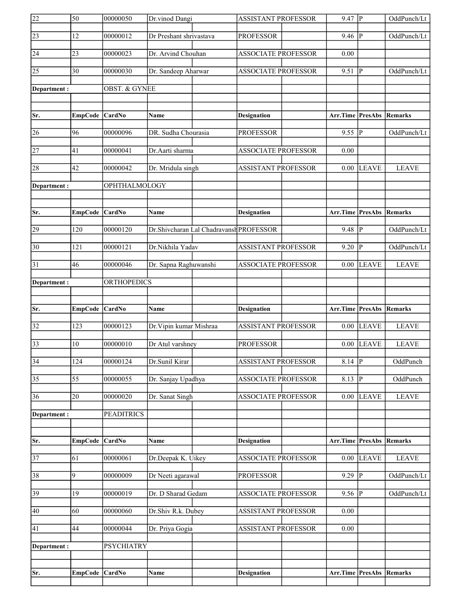| 22              | 50              | 00000050                 | Dr.vinod Dangi                          | ASSISTANT PROFESSOR        | $9.47$ P                        |                         | OddPunch/Lt    |
|-----------------|-----------------|--------------------------|-----------------------------------------|----------------------------|---------------------------------|-------------------------|----------------|
| 23              | 12              | 00000012                 | Dr Preshant shrivastava                 | <b>PROFESSOR</b>           | $9.46 \vert P$                  |                         | OddPunch/Lt    |
| 24              | 23              | 00000023                 | Dr. Arvind Chouhan                      | <b>ASSOCIATE PROFESSOR</b> | 0.00                            |                         |                |
| 25              | $\overline{30}$ | 00000030                 | Dr. Sandeep Aharwar                     | <b>ASSOCIATE PROFESSOR</b> | 9.51                            | P                       | OddPunch/Lt    |
| Department :    |                 | <b>OBST. &amp; GYNEE</b> |                                         |                            |                                 |                         |                |
|                 |                 |                          |                                         |                            |                                 |                         |                |
| Sr.             | <b>EmpCode</b>  | <b>CardNo</b>            | Name                                    | <b>Designation</b>         | <b>Arr.Time PresAbs Remarks</b> |                         |                |
| 26              | 96              | 00000096                 | DR. Sudha Chourasia                     | <b>PROFESSOR</b>           | $9.55$ P                        |                         | OddPunch/Lt    |
| 27              | 41              | 00000041                 | Dr.Aarti sharma                         | <b>ASSOCIATE PROFESSOR</b> | 0.00                            |                         |                |
| 28              | 42              | 00000042                 | Dr. Mridula singh                       | <b>ASSISTANT PROFESSOR</b> |                                 | $0.00$ LEAVE            | <b>LEAVE</b>   |
| Department :    |                 | OPHTHALMOLOGY            |                                         |                            |                                 |                         |                |
|                 |                 |                          |                                         |                            |                                 |                         |                |
| Sr.             | EmpCode CardNo  |                          | Name                                    | <b>Designation</b>         | Arr.Time PresAbs                |                         | Remarks        |
| 29              | 120             | 00000120                 | Dr.Shivcharan Lal Chadravansh PROFESSOR |                            | 9.48                            | P                       | OddPunch/Lt    |
| $ 30\rangle$    | 121             | 00000121                 | Dr.Nikhila Yadav                        | <b>ASSISTANT PROFESSOR</b> | $9.20$ P                        |                         | OddPunch/Lt    |
| 31              | 46              | 00000046                 | Dr. Sapna Raghuwanshi                   | <b>ASSOCIATE PROFESSOR</b> | 0.00                            | <b>LEAVE</b>            | <b>LEAVE</b>   |
| Department:     |                 | <b>ORTHOPEDICS</b>       |                                         |                            |                                 |                         |                |
|                 |                 |                          |                                         |                            |                                 |                         |                |
| Sr.             | <b>EmpCode</b>  | <b>CardNo</b>            | Name                                    | <b>Designation</b>         | <b>Arr.Time PresAbs</b>         |                         | <b>Remarks</b> |
| 32              | 123             | 00000123                 | Dr. Vipin kumar Mishraa                 | <b>ASSISTANT PROFESSOR</b> |                                 | $0.00$ LEAVE            | <b>LEAVE</b>   |
| 33              | 10              | 00000010                 | Dr Atul varshney                        | <b>PROFESSOR</b>           |                                 | $0.00$ LEAVE            | <b>LEAVE</b>   |
| $\overline{34}$ | 124             | 00000124                 | Dr.Sunil Kirar                          | <b>ASSISTANT PROFESSOR</b> | $8.14$ P                        |                         | OddPunch       |
| $\overline{35}$ | $\overline{55}$ | 00000055                 | Dr. Sanjay Upadhya                      | <b>ASSOCIATE PROFESSOR</b> | $8.13$ P                        |                         | OddPunch       |
| 36              | 20              | 00000020                 | Dr. Sanat Singh                         | <b>ASSOCIATE PROFESSOR</b> | 0.00                            | <b>LEAVE</b>            | <b>LEAVE</b>   |
| Department:     |                 | <b>PEADITRICS</b>        |                                         |                            |                                 |                         |                |
|                 |                 |                          |                                         |                            |                                 |                         |                |
| Sr.             | <b>EmpCode</b>  | CardNo                   | Name                                    | <b>Designation</b>         | <b>Arr.Time PresAbs</b>         |                         | <b>Remarks</b> |
| $\overline{37}$ | 61              | 00000061                 | Dr.Deepak K. Uikey                      | <b>ASSOCIATE PROFESSOR</b> |                                 | $\overline{0.00}$ LEAVE | <b>LEAVE</b>   |
| 38              | 9               | 00000009                 | Dr Neeti agarawal                       | <b>PROFESSOR</b>           | $9.29$ P                        |                         | OddPunch/Lt    |
| 39              | 19              | 00000019                 | Dr. D Sharad Gedam                      | <b>ASSOCIATE PROFESSOR</b> | $9.56 \vert P$                  |                         | OddPunch/Lt    |
| 40              | 60              | 00000060                 | Dr.Shiv R.k. Dubey                      | <b>ASSISTANT PROFESSOR</b> | 0.00                            |                         |                |
| 41              | 44              | 00000044                 | Dr. Priya Gogia                         | <b>ASSISTANT PROFESSOR</b> | 0.00                            |                         |                |
|                 |                 |                          |                                         |                            |                                 |                         |                |
| Department:     |                 | <b>PSYCHIATRY</b>        |                                         |                            |                                 |                         |                |
|                 |                 |                          |                                         |                            |                                 |                         |                |